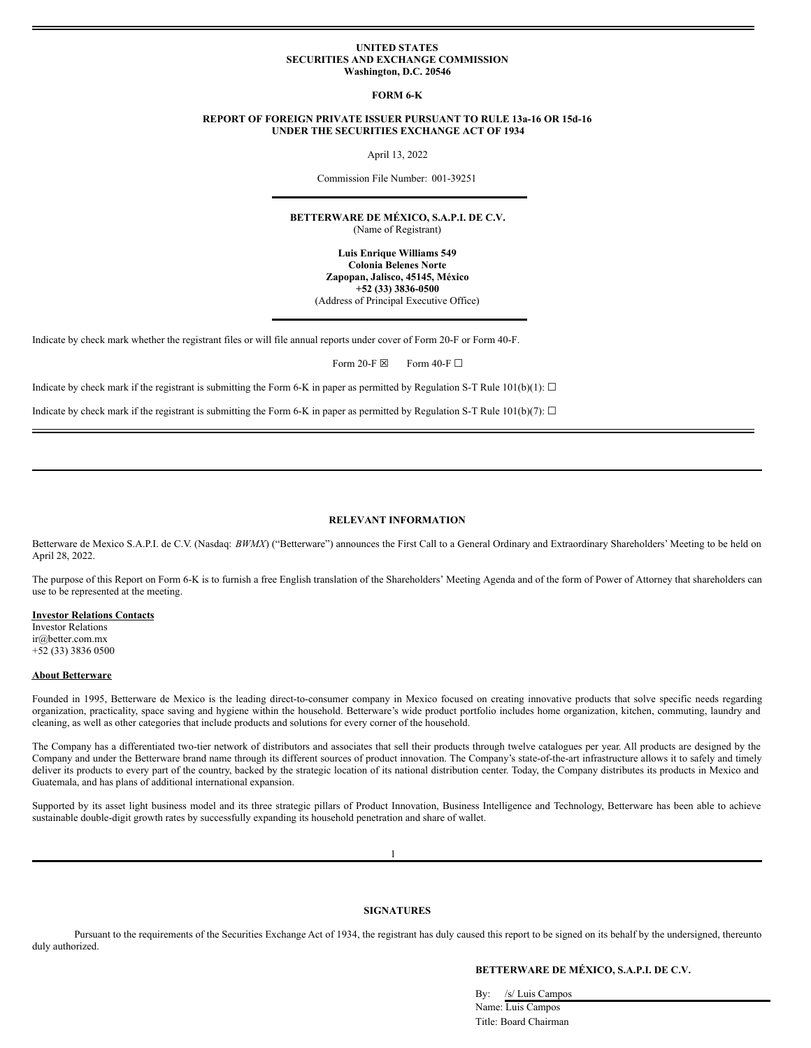#### **UNITED STATES SECURITIES AND EXCHANGE COMMISSION Washington, D.C. 20546**

**FORM 6-K**

### **REPORT OF FOREIGN PRIVATE ISSUER PURSUANT TO RULE 13a-16 OR 15d-16 UNDER THE SECURITIES EXCHANGE ACT OF 1934**

April 13, 2022

Commission File Number: 001-39251

**BETTERWARE DE MÉXICO, S.A.P.I. DE C.V.** (Name of Registrant)

> **Luis Enrique Williams 549 Colonia Belenes Norte Zapopan, Jalisco, 45145, México +52 (33) 3836-0500** (Address of Principal Executive Office)

Indicate by check mark whether the registrant files or will file annual reports under cover of Form 20-F or Form 40-F.

Form 20-F  $\boxtimes$  Form 40-F  $\Box$ 

Indicate by check mark if the registrant is submitting the Form 6-K in paper as permitted by Regulation S-T Rule 101(b)(1):  $\Box$ 

Indicate by check mark if the registrant is submitting the Form 6-K in paper as permitted by Regulation S-T Rule 101(b)(7):  $\Box$ 

# **RELEVANT INFORMATION**

Betterware de Mexico S.A.P.I. de C.V. (Nasdaq: *BWMX*) ("Betterware") announces the First Call to a General Ordinary and Extraordinary Shareholders' Meeting to be held on April 28, 2022.

The purpose of this Report on Form 6-K is to furnish a free English translation of the Shareholders' Meeting Agenda and of the form of Power of Attorney that shareholders can use to be represented at the meeting.

#### **Investor Relations Contacts**

Investor Relations ir@better.com.mx +52 (33) 3836 0500

#### **About Betterware**

Founded in 1995, Betterware de Mexico is the leading direct-to-consumer company in Mexico focused on creating innovative products that solve specific needs regarding organization, practicality, space saving and hygiene within the household. Betterware's wide product portfolio includes home organization, kitchen, commuting, laundry and cleaning, as well as other categories that include products and solutions for every corner of the household.

The Company has a differentiated two-tier network of distributors and associates that sell their products through twelve catalogues per year. All products are designed by the Company and under the Betterware brand name through its different sources of product innovation. The Company's state-of-the-art infrastructure allows it to safely and timely deliver its products to every part of the country, backed by the strategic location of its national distribution center. Today, the Company distributes its products in Mexico and Guatemala, and has plans of additional international expansion.

Supported by its asset light business model and its three strategic pillars of Product Innovation, Business Intelligence and Technology, Betterware has been able to achieve sustainable double-digit growth rates by successfully expanding its household penetration and share of wallet.

1

# **SIGNATURES**

Pursuant to the requirements of the Securities Exchange Act of 1934, the registrant has duly caused this report to be signed on its behalf by the undersigned, thereunto duly authorized.

## **BETTERWARE DE MÉXICO, S.A.P.I. DE C.V.**

By: /s/ Luis Campos

Name: Luis Campos Title: Board Chairman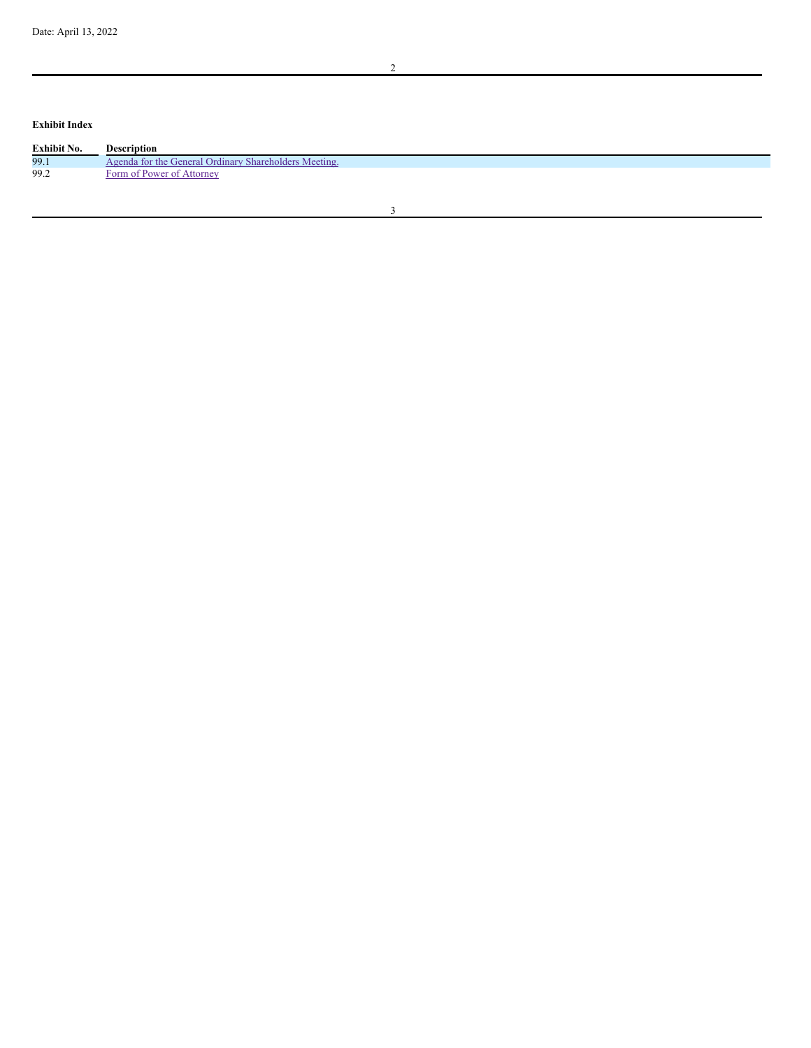**Exhibit Index**

| Exhibit No. | <b>Description</b>                                    |
|-------------|-------------------------------------------------------|
| 99.1        | Agenda for the General Ordinary Shareholders Meeting. |
| 99.2        | Form of Power of Attorney                             |
|             |                                                       |

2

3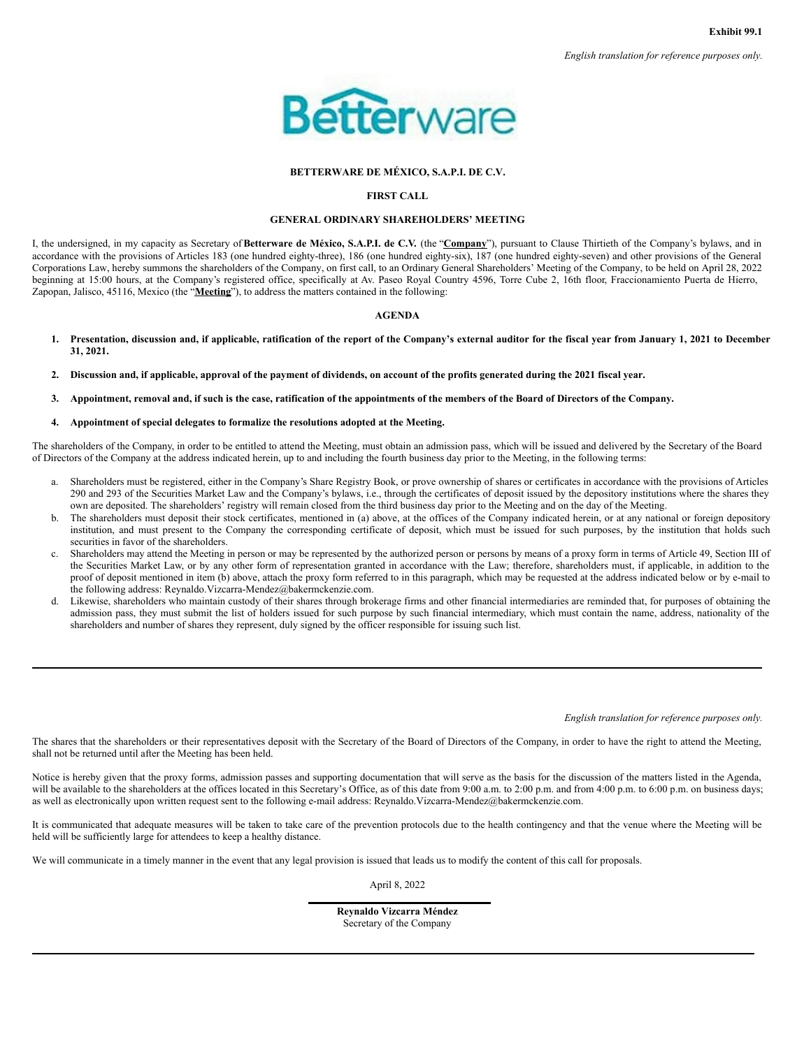

# **BETTERWARE DE MÉXICO, S.A.P.I. DE C.V.**

# **FIRST CALL**

# **GENERAL ORDINARY SHAREHOLDERS' MEETING**

<span id="page-2-0"></span>I, the undersigned, in my capacity as Secretary of**Betterware de México, S.A.P.I. de C.V.** (the "**Company**"), pursuant to Clause Thirtieth of the Company's bylaws, and in accordance with the provisions of Articles 183 (one hundred eighty-three), 186 (one hundred eighty-six), 187 (one hundred eighty-seven) and other provisions of the General Corporations Law, hereby summons the shareholders of the Company, on first call, to an Ordinary General Shareholders' Meeting of the Company, to be held on April 28, 2022 beginning at 15:00 hours, at the Company's registered office, specifically at Av. Paseo Royal Country 4596, Torre Cube 2, 16th floor, Fraccionamiento Puerta de Hierro, Zapopan, Jalisco, 45116, Mexico (the "**Meeting**"), to address the matters contained in the following:

### **AGENDA**

- 1. Presentation, discussion and, if applicable, ratification of the report of the Company's external auditor for the fiscal year from January 1, 2021 to December **31, 2021.**
- 2. Discussion and, if applicable, approval of the payment of dividends, on account of the profits generated during the 2021 fiscal year.
- 3. Appointment, removal and, if such is the case, ratification of the appointments of the members of the Board of Directors of the Company.

## **4. Appointment of special delegates to formalize the resolutions adopted at the Meeting.**

The shareholders of the Company, in order to be entitled to attend the Meeting, must obtain an admission pass, which will be issued and delivered by the Secretary of the Board of Directors of the Company at the address indicated herein, up to and including the fourth business day prior to the Meeting, in the following terms:

- a. Shareholders must be registered, either in the Company's Share Registry Book, or prove ownership of shares or certificates in accordance with the provisions of Articles 290 and 293 of the Securities Market Law and the Company's bylaws, i.e., through the certificates of deposit issued by the depository institutions where the shares they own are deposited. The shareholders' registry will remain closed from the third business day prior to the Meeting and on the day of the Meeting.
- b. The shareholders must deposit their stock certificates, mentioned in (a) above, at the offices of the Company indicated herein, or at any national or foreign depository institution, and must present to the Company the corresponding certificate of deposit, which must be issued for such purposes, by the institution that holds such securities in favor of the shareholders.
- c. Shareholders may attend the Meeting in person or may be represented by the authorized person or persons by means of a proxy form in terms of Article 49, Section III of the Securities Market Law, or by any other form of representation granted in accordance with the Law; therefore, shareholders must, if applicable, in addition to the proof of deposit mentioned in item (b) above, attach the proxy form referred to in this paragraph, which may be requested at the address indicated below or by e-mail to the following address: Reynaldo.Vizcarra-Mendez@bakermckenzie.com.
- d. Likewise, shareholders who maintain custody of their shares through brokerage firms and other financial intermediaries are reminded that, for purposes of obtaining the admission pass, they must submit the list of holders issued for such purpose by such financial intermediary, which must contain the name, address, nationality of the shareholders and number of shares they represent, duly signed by the officer responsible for issuing such list.

*English translation for reference purposes only.*

The shares that the shareholders or their representatives deposit with the Secretary of the Board of Directors of the Company, in order to have the right to attend the Meeting, shall not be returned until after the Meeting has been held.

Notice is hereby given that the proxy forms, admission passes and supporting documentation that will serve as the basis for the discussion of the matters listed in the Agenda, will be available to the shareholders at the offices located in this Secretary's Office, as of this date from 9:00 a.m. to 2:00 p.m. and from 4:00 p.m. to 6:00 p.m. on business days; as well as electronically upon written request sent to the following e-mail address: Reynaldo.Vizcarra-Mendez@bakermckenzie.com.

It is communicated that adequate measures will be taken to take care of the prevention protocols due to the health contingency and that the venue where the Meeting will be held will be sufficiently large for attendees to keep a healthy distance.

We will communicate in a timely manner in the event that any legal provision is issued that leads us to modify the content of this call for proposals.

April 8, 2022

**Reynaldo Vizcarra Méndez** Secretary of the Company